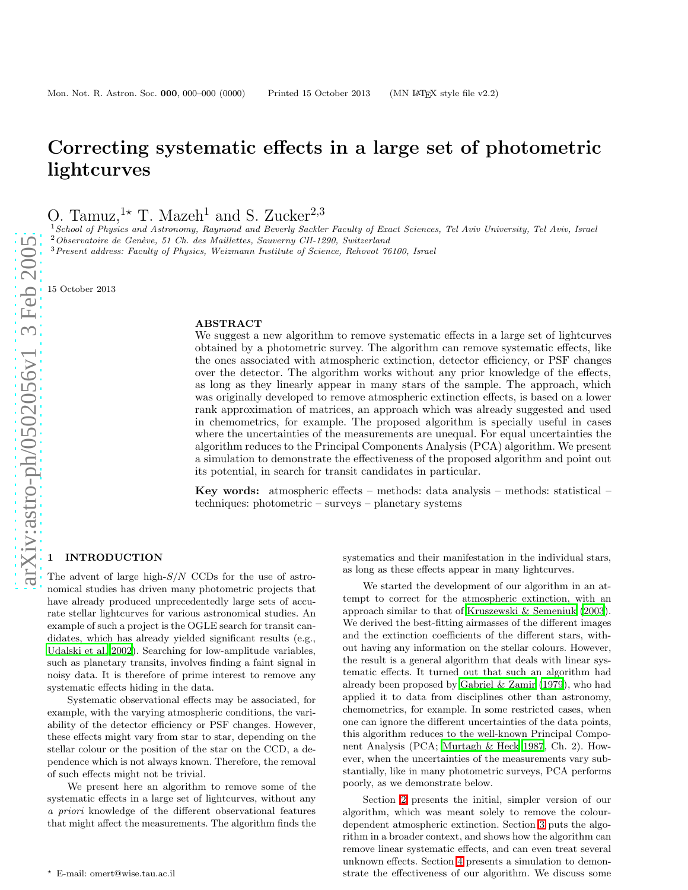# Correcting systematic effects in a large set of photometric lightcurves

O. Tamuz,<sup>1\*</sup> T. Mazeh<sup>1</sup> and S. Zucker<sup>2,3</sup>

<sup>1</sup>*School of Physics and Astronomy, Raymond and Beverly Sackler Faculty of Exact Sciences, Tel Aviv University, Tel Aviv, Israel* <sup>2</sup>*Observatoire de Gen`eve, 51 Ch. des Maillettes, Sauverny CH-1290, Switzerland*

<sup>3</sup>*Present address: Faculty of Physics, Weizmann Institute of Science, Rehovot 76100, Israel*

15 October 2013

#### ABSTRACT

We suggest a new algorithm to remove systematic effects in a large set of lightcurves obtained by a photometric survey. The algorithm can remove systematic effects, like the ones associated with atmospheric extinction, detector efficiency, or PSF changes over the detector. The algorithm works without any prior knowledge of the effects, as long as they linearly appear in many stars of the sample. The approach, which was originally developed to remove atmospheric extinction effects, is based on a lower rank approximation of matrices, an approach which was already suggested and used in chemometrics, for example. The proposed algorithm is specially useful in cases where the uncertainties of the measurements are unequal. For equal uncertainties the algorithm reduces to the Principal Components Analysis (PCA) algorithm. We present a simulation to demonstrate the effectiveness of the proposed algorithm and point out its potential, in search for transit candidates in particular.

Key words: atmospheric effects – methods: data analysis – methods: statistical – techniques: photometric – surveys – planetary systems

#### **INTRODUCTION**

The advent of large high- $S/N$  CCDs for the use of astronomical studies has driven many photometric projects that have already produced unprecedentedly large sets of accurate stellar lightcurves for various astronomical studies. An example of such a project is the OGLE search for transit candidates, which has already yielded significant results (e.g., [Udalski et al. 2002](#page-5-0)). Searching for low-amplitude variables, such as planetary transits, involves finding a faint signal i n noisy data. It is therefore of prime interest to remove any systematic effects hiding in the data.

Systematic observational effects may be associated, for example, with the varying atmospheric conditions, the vari ability of the detector efficiency or PSF changes. However, these effects might vary from star to star, depending on the stellar colour or the position of the star on the CCD, a dependence which is not always known. Therefore, the removal of such effects might not be trivial.

We present here an algorithm to remove some of the systematic effects in a large set of lightcurves, without any a priori knowledge of the different observational features that might affect the measurements. The algorithm finds the

We started the development of our algorithm in an attempt to correct for the atmospheric extinction, with an approach similar to that of [Kruszewski & Semeniuk \(2003](#page-5-1)). We derived the best-fitting airmasses of the different images and the extinction coefficients of the different stars, without having any information on the stellar colours. However, the result is a general algorithm that deals with linear systematic effects. It turned out that such an algorithm had already been proposed by [Gabriel & Zamir \(1979](#page-5-2)), who had applied it to data from disciplines other than astronomy, chemometrics, for example. In some restricted cases, when one can ignore the different uncertainties of the data points , this algorithm reduces to the well-known Principal Component Analysis (PCA; [Murtagh & Heck 1987](#page-5-3), Ch. 2). However, when the uncertainties of the measurements vary substantially, like in many photometric surveys, PCA performs poorly, as we demonstrate below.

Section [2](#page-1-0) presents the initial, simpler version of our algorithm, which was meant solely to remove the colourdependent atmospheric extinction. Section [3](#page-1-1) puts the algorithm in a broader context, and shows how the algorithm can remove linear systematic effects, and can even treat several unknown effects. Section [4](#page-2-0) presents a simulation to demonstrate the effectiveness of our algorithm. We discuss some

systematics and their manifestation in the individual stars, as long as these effects appear in many lightcurves.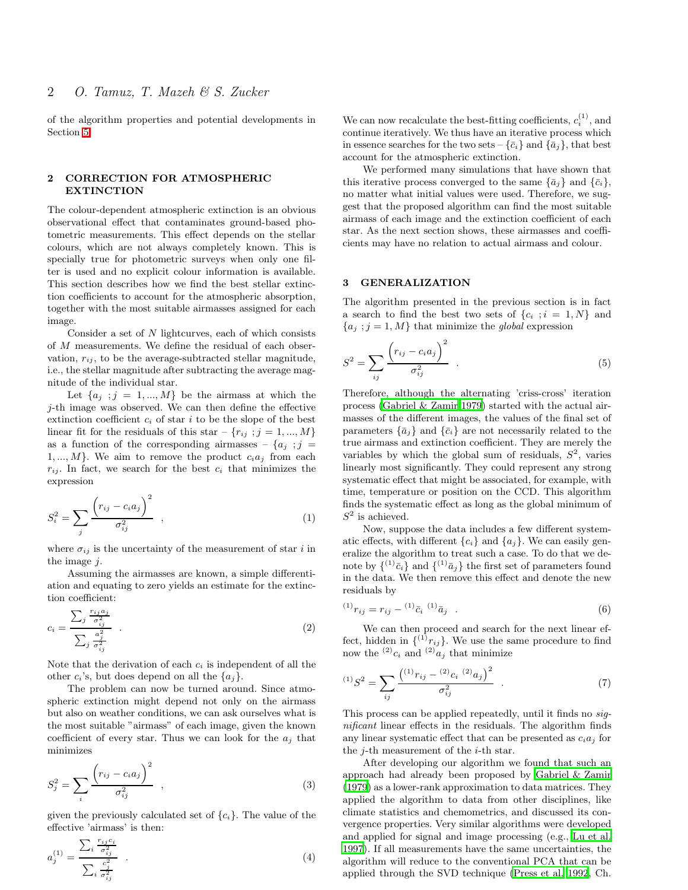of the algorithm properties and potential developments in Section [5.](#page-2-1)

#### <span id="page-1-0"></span>2 CORRECTION FOR ATMOSPHERIC **EXTINCTION**

The colour-dependent atmospheric extinction is an obvious observational effect that contaminates ground-based photometric measurements. This effect depends on the stellar colours, which are not always completely known. This is specially true for photometric surveys when only one filter is used and no explicit colour information is available. This section describes how we find the best stellar extinction coefficients to account for the atmospheric absorption, together with the most suitable airmasses assigned for each image.

Consider a set of  $N$  lightcurves, each of which consists of M measurements. We define the residual of each observation,  $r_{ij}$ , to be the average-subtracted stellar magnitude, i.e., the stellar magnitude after subtracting the average magnitude of the individual star.

Let  $\{a_j; j = 1, ..., M\}$  be the airmass at which the j-th image was observed. We can then define the effective extinction coefficient  $c_i$  of star  $i$  to be the slope of the best linear fit for the residuals of this star  $-$  { $r_{ij}$ ;  $j = 1, ..., M$ } as a function of the corresponding airmasses –  $\{a_i : j =$ 1, ..., M}. We aim to remove the product  $c_i a_j$  from each  $r_{ij}$ . In fact, we search for the best  $c_i$  that minimizes the expression

$$
S_i^2 = \sum_j \frac{\left(r_{ij} - c_i a_j\right)^2}{\sigma_{ij}^2} \tag{1}
$$

where  $\sigma_{ij}$  is the uncertainty of the measurement of star i in the image  $i$ .

Assuming the airmasses are known, a simple differentiation and equating to zero yields an estimate for the extinction coefficient:

$$
c_i = \frac{\sum_j \frac{r_{ij} a_j}{\sigma_{ij}^2}}{\sum_j \frac{a_j^2}{\sigma_{ij}^2}} \tag{2}
$$

Note that the derivation of each  $c_i$  is independent of all the other  $c_i$ 's, but does depend on all the  $\{a_i\}$ .

The problem can now be turned around. Since atmospheric extinction might depend not only on the airmass but also on weather conditions, we can ask ourselves what is the most suitable "airmass" of each image, given the known coefficient of every star. Thus we can look for the  $a_i$  that minimizes

$$
S_j^2 = \sum_i \frac{\left(r_{ij} - c_i a_j\right)^2}{\sigma_{ij}^2} \tag{3}
$$

given the previously calculated set of  $\{c_i\}$ . The value of the effective 'airmass' is then:

$$
a_j^{(1)} = \frac{\sum_i \frac{r_{ij}c_i}{\sigma_{ij}^2}}{\sum_i \frac{c_j^2}{\sigma_{ij}^2}} \tag{4}
$$

We can now recalculate the best-fitting coefficients,  $c_i^{(1)}$ , and continue iteratively. We thus have an iterative process which in essence searches for the two sets –  $\{\bar{c}_i\}$  and  $\{\bar{a}_j\}$ , that best account for the atmospheric extinction.

We performed many simulations that have shown that this iterative process converged to the same  $\{\bar{a}_i\}$  and  $\{\bar{c}_i\}$ , no matter what initial values were used. Therefore, we suggest that the proposed algorithm can find the most suitable airmass of each image and the extinction coefficient of each star. As the next section shows, these airmasses and coefficients may have no relation to actual airmass and colour.

### <span id="page-1-1"></span>3 GENERALIZATION

The algorithm presented in the previous section is in fact a search to find the best two sets of  $\{c_i : i = 1, N\}$  and  ${a_i ; j = 1, M}$  that minimize the global expression

$$
S^{2} = \sum_{ij} \frac{(r_{ij} - c_{i}a_{j})^{2}}{\sigma_{ij}^{2}} .
$$
 (5)

Therefore, although the alternating 'criss-cross' iteration process [\(Gabriel & Zamir 1979\)](#page-5-2) started with the actual airmasses of the different images, the values of the final set of parameters  $\{\bar{a}_i\}$  and  $\{\bar{c}_i\}$  are not necessarily related to the true airmass and extinction coefficient. They are merely the variables by which the global sum of residuals,  $S^2$ , varies linearly most significantly. They could represent any strong systematic effect that might be associated, for example, with time, temperature or position on the CCD. This algorithm finds the systematic effect as long as the global minimum of  $S^2$  is achieved.

Now, suppose the data includes a few different systematic effects, with different  ${c_i}$  and  ${a_j}$ . We can easily generalize the algorithm to treat such a case. To do that we denote by  $\{^{(1)}\bar{c}_i\}$  and  $\{^{(1)}\bar{a}_j\}$  the first set of parameters found in the data. We then remove this effect and denote the new residuals by

$$
^{(1)}r_{ij} = r_{ij} - {}^{(1)}\bar{c}_i {}^{(1)}\bar{a}_j . \qquad (6)
$$

We can then proceed and search for the next linear effect, hidden in  $\{^{(1)}r_{ij}\}$ . We use the same procedure to find now the <sup>(2)</sup> $c_i$  and <sup>(2)</sup> $a_j$  that minimize

$$
^{(1)}S^2 = \sum_{ij} \frac{\left(^{(1)}r_{ij} - {}^{(2)}c_i \, {}^{(2)}a_j\right)^2}{\sigma_{ij}^2} \quad . \tag{7}
$$

This process can be applied repeatedly, until it finds no significant linear effects in the residuals. The algorithm finds any linear systematic effect that can be presented as  $c_i a_j$  for the  $i$ -th measurement of the  $i$ -th star.

After developing our algorithm we found that such an approach had already been proposed by [Gabriel & Zamir](#page-5-2) [\(1979](#page-5-2)) as a lower-rank approximation to data matrices. They applied the algorithm to data from other disciplines, like climate statistics and chemometrics, and discussed its convergence properties. Very similar algorithms were developed and applied for signal and image processing (e.g., [Lu et al.](#page-5-4) [1997](#page-5-4)). If all measurements have the same uncertainties, the algorithm will reduce to the conventional PCA that can be applied through the SVD technique [\(Press et al. 1992,](#page-5-5) Ch.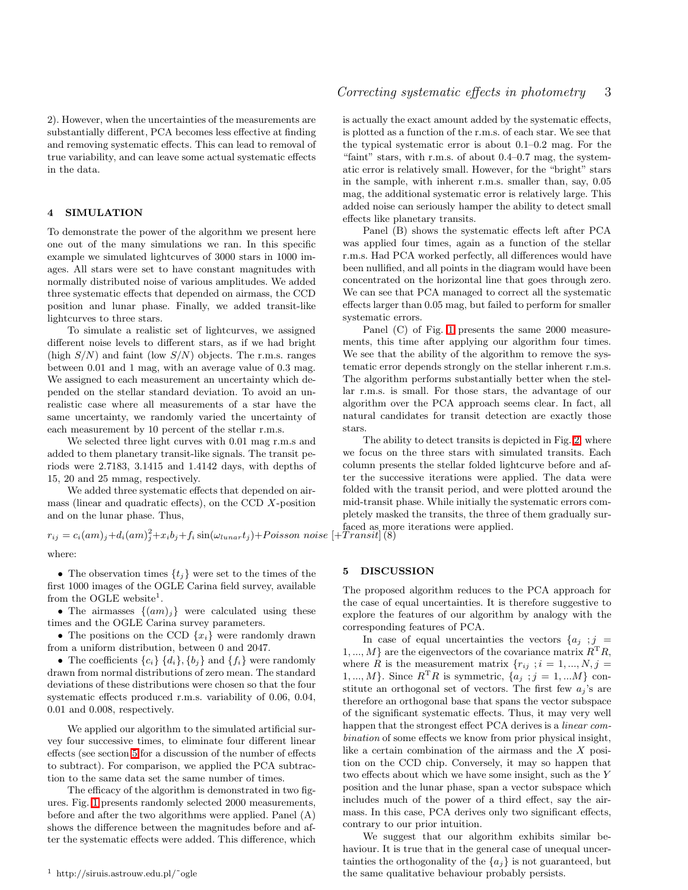2). However, when the uncertainties of the measurements are substantially different, PCA becomes less effective at finding and removing systematic effects. This can lead to removal of true variability, and can leave some actual systematic effects in the data.

#### <span id="page-2-0"></span>4 SIMULATION

To demonstrate the power of the algorithm we present here one out of the many simulations we ran. In this specific example we simulated lightcurves of 3000 stars in 1000 images. All stars were set to have constant magnitudes with normally distributed noise of various amplitudes. We added three systematic effects that depended on airmass, the CCD position and lunar phase. Finally, we added transit-like lightcurves to three stars.

To simulate a realistic set of lightcurves, we assigned different noise levels to different stars, as if we had bright (high  $S/N$ ) and faint (low  $S/N$ ) objects. The r.m.s. ranges between 0.01 and 1 mag, with an average value of 0.3 mag. We assigned to each measurement an uncertainty which depended on the stellar standard deviation. To avoid an unrealistic case where all measurements of a star have the same uncertainty, we randomly varied the uncertainty of each measurement by 10 percent of the stellar r.m.s.

We selected three light curves with 0.01 mag r.m.s and added to them planetary transit-like signals. The transit periods were 2.7183, 3.1415 and 1.4142 days, with depths of 15, 20 and 25 mmag, respectively.

We added three systematic effects that depended on airmass (linear and quadratic effects), on the CCD X-position and on the lunar phase. Thus,

 $r_{ij} = c_i(am)_j + d_i(am)_j^2 + x_ib_j + f_i \sin(\omega_{lunar}t_j) + Poisson\ noise\ [+Transit]\ (8)$ where:

• The observation times  $\{t_j\}$  were set to the times of the first 1000 images of the OGLE Carina field survey, available from the OGLE website<sup>1</sup>.

• The airmasses  $\{(am)_j\}$  were calculated using these times and the OGLE Carina survey parameters.

• The positions on the CCD  $\{x_i\}$  were randomly drawn from a uniform distribution, between 0 and 2047.

• The coefficients  $\{c_i\}$   $\{d_i\}$ ,  $\{b_j\}$  and  $\{f_i\}$  were randomly drawn from normal distributions of zero mean. The standard deviations of these distributions were chosen so that the four systematic effects produced r.m.s. variability of 0.06, 0.04, 0.01 and 0.008, respectively.

We applied our algorithm to the simulated artificial survey four successive times, to eliminate four different linear effects (see section [5](#page-2-1) for a discussion of the number of effects to subtract). For comparison, we applied the PCA subtraction to the same data set the same number of times.

The efficacy of the algorithm is demonstrated in two figures. Fig. [1](#page-3-0) presents randomly selected 2000 measurements, before and after the two algorithms were applied. Panel (A) shows the difference between the magnitudes before and after the systematic effects were added. This difference, which is actually the exact amount added by the systematic effects, is plotted as a function of the r.m.s. of each star. We see that the typical systematic error is about 0.1–0.2 mag. For the "faint" stars, with r.m.s. of about  $0.4-0.7$  mag, the systematic error is relatively small. However, for the "bright" stars in the sample, with inherent r.m.s. smaller than, say, 0.05 mag, the additional systematic error is relatively large. This added noise can seriously hamper the ability to detect small effects like planetary transits.

Panel (B) shows the systematic effects left after PCA was applied four times, again as a function of the stellar r.m.s. Had PCA worked perfectly, all differences would have been nullified, and all points in the diagram would have been concentrated on the horizontal line that goes through zero. We can see that PCA managed to correct all the systematic effects larger than 0.05 mag, but failed to perform for smaller systematic errors.

Panel (C) of Fig. [1](#page-3-0) presents the same 2000 measurements, this time after applying our algorithm four times. We see that the ability of the algorithm to remove the systematic error depends strongly on the stellar inherent r.m.s. The algorithm performs substantially better when the stellar r.m.s. is small. For those stars, the advantage of our algorithm over the PCA approach seems clear. In fact, all natural candidates for transit detection are exactly those stars.

The ability to detect transits is depicted in Fig. [2,](#page-4-0) where we focus on the three stars with simulated transits. Each column presents the stellar folded lightcurve before and after the successive iterations were applied. The data were folded with the transit period, and were plotted around the mid-transit phase. While initially the systematic errors completely masked the transits, the three of them gradually surfaced as more iterations were applied.

#### <span id="page-2-1"></span>5 DISCUSSION

The proposed algorithm reduces to the PCA approach for the case of equal uncertainties. It is therefore suggestive to explore the features of our algorithm by analogy with the corresponding features of PCA.

In case of equal uncertainties the vectors  $\{a_j\; ; j =$  $1, ..., M$  are the eigenvectors of the covariance matrix  $R^{T}R$ , where R is the measurement matrix  $\{r_{ij}$ ;  $i = 1, ..., N, j =$ 1, ..., M }. Since  $R^{T}R$  is symmetric,  $\{a_j : j = 1, ...M\}$  constitute an orthogonal set of vectors. The first few  $a_j$ 's are therefore an orthogonal base that spans the vector subspace of the significant systematic effects. Thus, it may very well happen that the strongest effect PCA derives is a *linear com*bination of some effects we know from prior physical insight, like a certain combination of the airmass and the X position on the CCD chip. Conversely, it may so happen that two effects about which we have some insight, such as the Y position and the lunar phase, span a vector subspace which includes much of the power of a third effect, say the airmass. In this case, PCA derives only two significant effects, contrary to our prior intuition.

We suggest that our algorithm exhibits similar behaviour. It is true that in the general case of unequal uncertainties the orthogonality of the  $\{a_j\}$  is not guaranteed, but the same qualitative behaviour probably persists.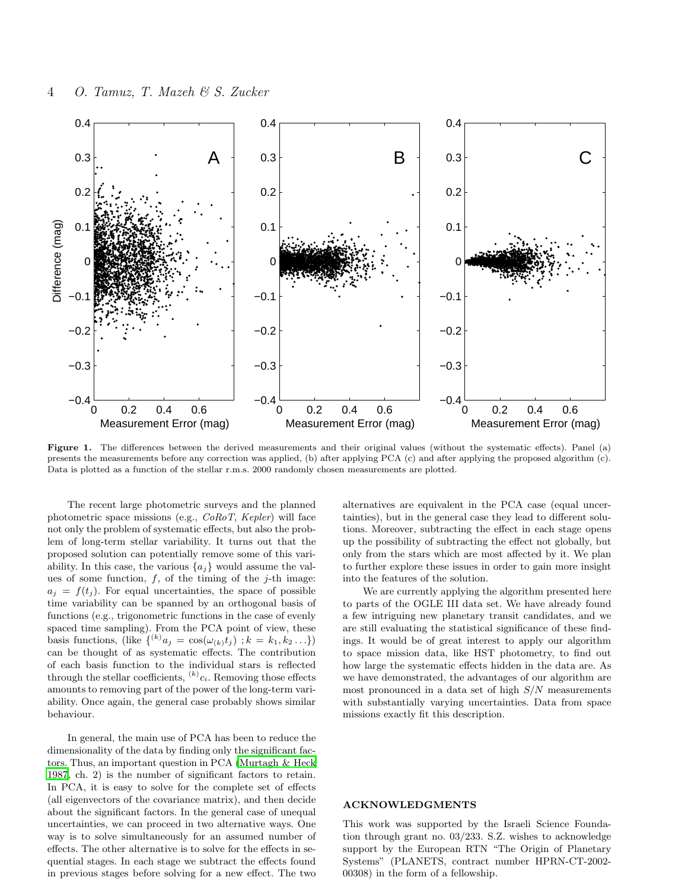

<span id="page-3-0"></span>Figure 1. The differences between the derived measurements and their original values (without the systematic effects). Panel (a) presents the measurements before any correction was applied, (b) after applying PCA (c) and after applying the proposed algorithm (c). Data is plotted as a function of the stellar r.m.s. 2000 randomly chosen measurements are plotted.

The recent large photometric surveys and the planned photometric space missions (e.g., CoRoT, Kepler) will face not only the problem of systematic effects, but also the problem of long-term stellar variability. It turns out that the proposed solution can potentially remove some of this variability. In this case, the various  $\{a_i\}$  would assume the values of some function,  $f$ , of the timing of the j-th image:  $a_j = f(t_j)$ . For equal uncertainties, the space of possible time variability can be spanned by an orthogonal basis of functions (e.g., trigonometric functions in the case of evenly spaced time sampling). From the PCA point of view, these basis functions, (like  $\{^{(k)}a_j = \cos(\omega_{(k)}t_j) ; k = k_1, k_2 \ldots \}$ ) can be thought of as systematic effects. The contribution of each basis function to the individual stars is reflected through the stellar coefficients,  ${}^{(k)}c_i$ . Removing those effects amounts to removing part of the power of the long-term variability. Once again, the general case probably shows similar behaviour.

In general, the main use of PCA has been to reduce the dimensionality of the data by finding only the significant factors. Thus, an important question in PCA [\(Murtagh & Heck](#page-5-3) [1987](#page-5-3), ch. 2) is the number of significant factors to retain. In PCA, it is easy to solve for the complete set of effects (all eigenvectors of the covariance matrix), and then decide about the significant factors. In the general case of unequal uncertainties, we can proceed in two alternative ways. One way is to solve simultaneously for an assumed number of effects. The other alternative is to solve for the effects in sequential stages. In each stage we subtract the effects found in previous stages before solving for a new effect. The two alternatives are equivalent in the PCA case (equal uncertainties), but in the general case they lead to different solutions. Moreover, subtracting the effect in each stage opens up the possibility of subtracting the effect not globally, but only from the stars which are most affected by it. We plan to further explore these issues in order to gain more insight into the features of the solution.

We are currently applying the algorithm presented here to parts of the OGLE III data set. We have already found a few intriguing new planetary transit candidates, and we are still evaluating the statistical significance of these findings. It would be of great interest to apply our algorithm to space mission data, like HST photometry, to find out how large the systematic effects hidden in the data are. As we have demonstrated, the advantages of our algorithm are most pronounced in a data set of high  $S/N$  measurements with substantially varying uncertainties. Data from space missions exactly fit this description.

## ACKNOWLEDGMENTS

This work was supported by the Israeli Science Foundation through grant no. 03/233. S.Z. wishes to acknowledge support by the European RTN "The Origin of Planetary Systems" (PLANETS, contract number HPRN-CT-2002- 00308) in the form of a fellowship.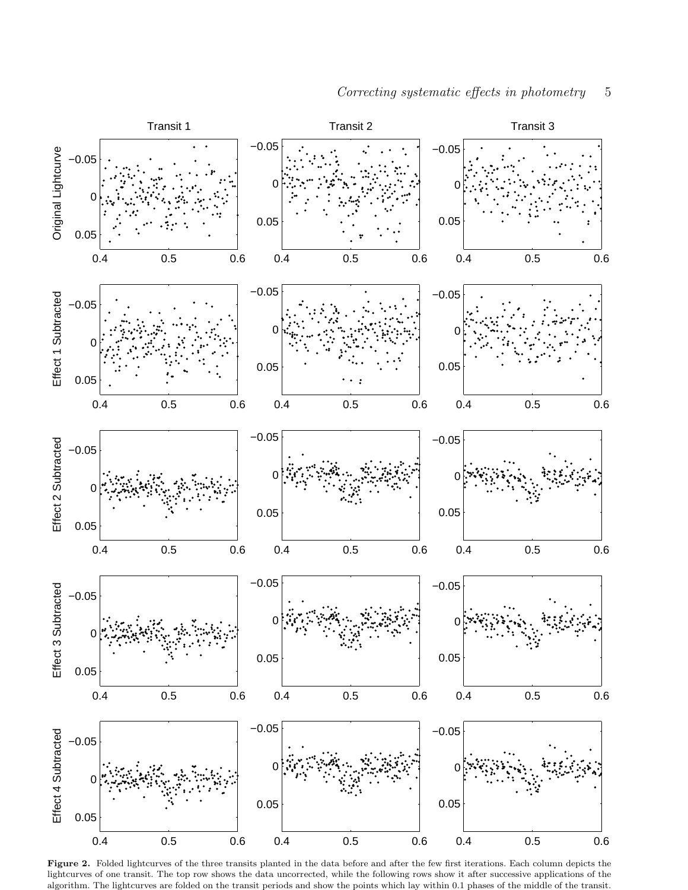

<span id="page-4-0"></span>Figure 2. Folded lightcurves of the three transits planted in the data before and after the few first iterations. Each column depicts the lightcurves of one transit. The top row shows the data uncorrected, while the following rows show it after successive applications of the algorithm. The lightcurves are folded on the transit periods and show the points which lay within 0.1 phases of the middle of the transit.